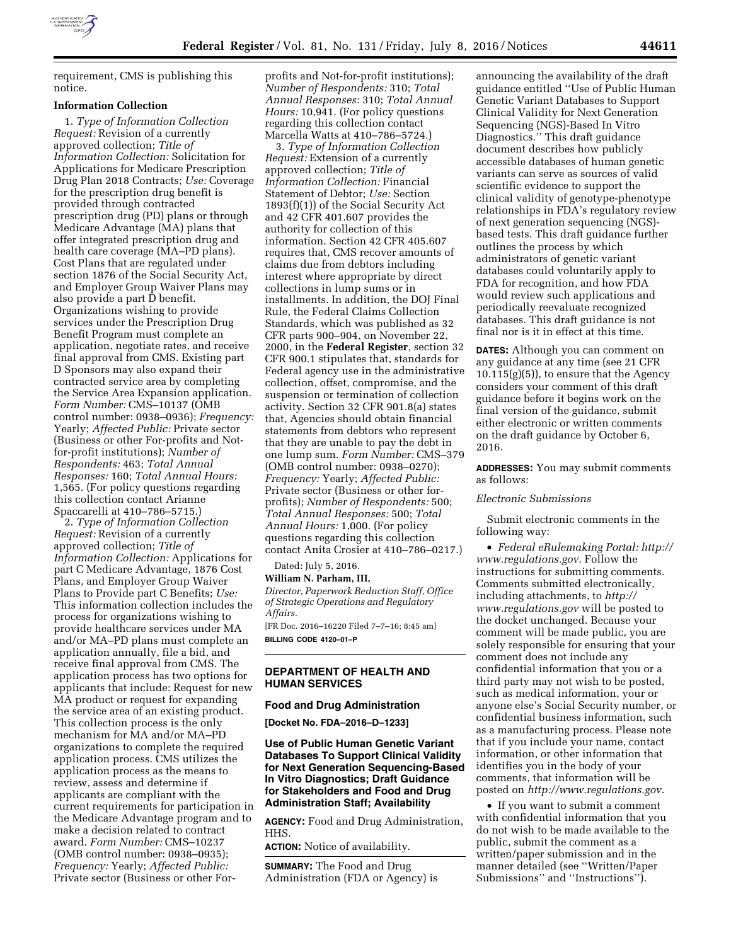

requirement, CMS is publishing this notice.

### **Information Collection**

1. *Type of Information Collection Request:* Revision of a currently approved collection; *Title of Information Collection:* Solicitation for Applications for Medicare Prescription Drug Plan 2018 Contracts; *Use:* Coverage for the prescription drug benefit is provided through contracted prescription drug (PD) plans or through Medicare Advantage (MA) plans that offer integrated prescription drug and health care coverage (MA–PD plans). Cost Plans that are regulated under section 1876 of the Social Security Act, and Employer Group Waiver Plans may also provide a part D benefit. Organizations wishing to provide services under the Prescription Drug Benefit Program must complete an application, negotiate rates, and receive final approval from CMS. Existing part D Sponsors may also expand their contracted service area by completing the Service Area Expansion application. *Form Number:* CMS–10137 (OMB control number: 0938–0936); *Frequency:*  Yearly; *Affected Public:* Private sector (Business or other For-profits and Notfor-profit institutions); *Number of Respondents:* 463; *Total Annual Responses:* 160; *Total Annual Hours:*  1,565. (For policy questions regarding this collection contact Arianne Spaccarelli at 410–786–5715.)

2. *Type of Information Collection Request:* Revision of a currently approved collection; *Title of Information Collection:* Applications for part C Medicare Advantage, 1876 Cost Plans, and Employer Group Waiver Plans to Provide part C Benefits; *Use:*  This information collection includes the process for organizations wishing to provide healthcare services under MA and/or MA–PD plans must complete an application annually, file a bid, and receive final approval from CMS. The application process has two options for applicants that include: Request for new MA product or request for expanding the service area of an existing product. This collection process is the only mechanism for MA and/or MA–PD organizations to complete the required application process. CMS utilizes the application process as the means to review, assess and determine if applicants are compliant with the current requirements for participation in the Medicare Advantage program and to make a decision related to contract award. *Form Number:* CMS–10237 (OMB control number: 0938–0935); *Frequency:* Yearly; *Affected Public:*  Private sector (Business or other Forprofits and Not-for-profit institutions); *Number of Respondents:* 310; *Total Annual Responses:* 310; *Total Annual Hours:* 10,941. (For policy questions regarding this collection contact Marcella Watts at 410–786–5724.)

3. *Type of Information Collection Request:* Extension of a currently approved collection; *Title of Information Collection:* Financial Statement of Debtor; *Use:* Section 1893(f)(1)) of the Social Security Act and 42 CFR 401.607 provides the authority for collection of this information. Section 42 CFR 405.607 requires that, CMS recover amounts of claims due from debtors including interest where appropriate by direct collections in lump sums or in installments. In addition, the DOJ Final Rule, the Federal Claims Collection Standards, which was published as 32 CFR parts 900–904, on November 22, 2000, in the **Federal Register**, section 32 CFR 900.1 stipulates that, standards for Federal agency use in the administrative collection, offset, compromise, and the suspension or termination of collection activity. Section 32 CFR 901.8(a) states that, Agencies should obtain financial statements from debtors who represent that they are unable to pay the debt in one lump sum. *Form Number:* CMS–379 (OMB control number: 0938–0270); *Frequency:* Yearly; *Affected Public:*  Private sector (Business or other forprofits); *Number of Respondents:* 500; *Total Annual Responses:* 500; *Total Annual Hours:* 1,000. (For policy questions regarding this collection contact Anita Crosier at 410–786–0217.)

Dated: July 5, 2016.

**William N. Parham, III,** 

*Director, Paperwork Reduction Staff, Office of Strategic Operations and Regulatory Affairs.* 

[FR Doc. 2016–16220 Filed 7–7–16; 8:45 am] **BILLING CODE 4120–01–P** 

## **DEPARTMENT OF HEALTH AND HUMAN SERVICES**

## **Food and Drug Administration**

**[Docket No. FDA–2016–D–1233]** 

# **Use of Public Human Genetic Variant Databases To Support Clinical Validity for Next Generation Sequencing-Based In Vitro Diagnostics; Draft Guidance for Stakeholders and Food and Drug Administration Staff; Availability**

**AGENCY:** Food and Drug Administration, HHS.

**ACTION:** Notice of availability.

**SUMMARY:** The Food and Drug Administration (FDA or Agency) is

announcing the availability of the draft guidance entitled ''Use of Public Human Genetic Variant Databases to Support Clinical Validity for Next Generation Sequencing (NGS)-Based In Vitro Diagnostics.'' This draft guidance document describes how publicly accessible databases of human genetic variants can serve as sources of valid scientific evidence to support the clinical validity of genotype-phenotype relationships in FDA's regulatory review of next generation sequencing (NGS) based tests. This draft guidance further outlines the process by which administrators of genetic variant databases could voluntarily apply to FDA for recognition, and how FDA would review such applications and periodically reevaluate recognized databases. This draft guidance is not final nor is it in effect at this time.

**DATES:** Although you can comment on any guidance at any time (see 21 CFR  $10.115(g)(5)$ , to ensure that the Agency considers your comment of this draft guidance before it begins work on the final version of the guidance, submit either electronic or written comments on the draft guidance by October 6, 2016.

**ADDRESSES:** You may submit comments as follows:

## *Electronic Submissions*

Submit electronic comments in the following way:

• *Federal eRulemaking Portal: [http://](http://www.regulations.gov)  [www.regulations.gov](http://www.regulations.gov)*. Follow the instructions for submitting comments. Comments submitted electronically, including attachments, to *[http://](http://www.regulations.gov) [www.regulations.gov](http://www.regulations.gov)* will be posted to the docket unchanged. Because your comment will be made public, you are solely responsible for ensuring that your comment does not include any confidential information that you or a third party may not wish to be posted, such as medical information, your or anyone else's Social Security number, or confidential business information, such as a manufacturing process. Please note that if you include your name, contact information, or other information that identifies you in the body of your comments, that information will be posted on *<http://www.regulations.gov>*.

• If you want to submit a comment with confidential information that you do not wish to be made available to the public, submit the comment as a written/paper submission and in the manner detailed (see ''Written/Paper Submissions'' and ''Instructions'').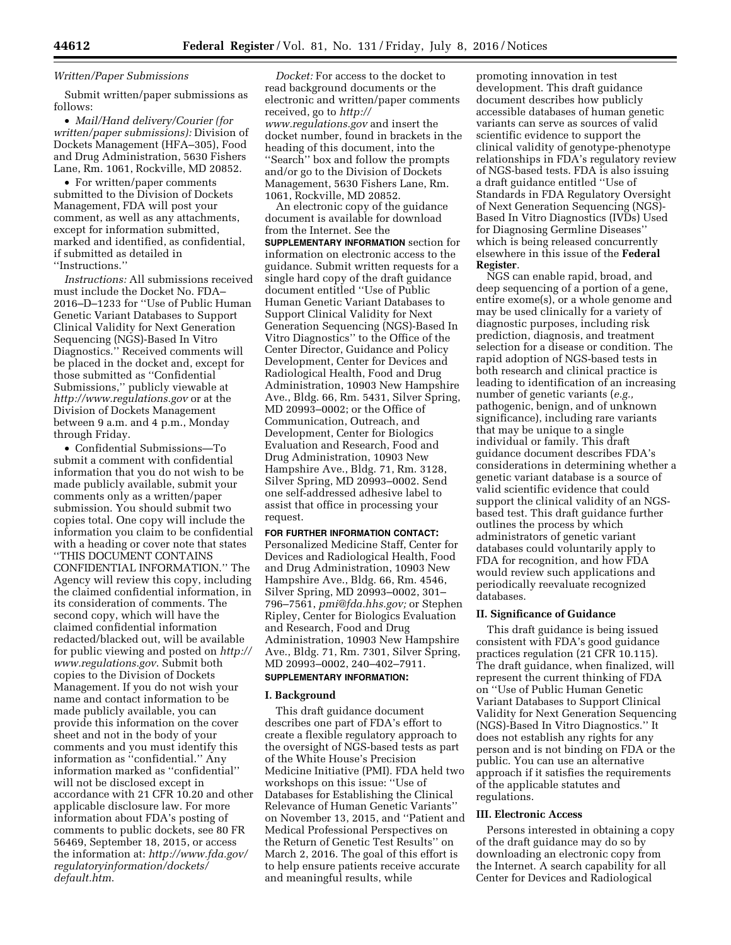### *Written/Paper Submissions*

Submit written/paper submissions as follows:

• *Mail/Hand delivery/Courier (for written/paper submissions):* Division of Dockets Management (HFA–305), Food and Drug Administration, 5630 Fishers Lane, Rm. 1061, Rockville, MD 20852.

• For written/paper comments submitted to the Division of Dockets Management, FDA will post your comment, as well as any attachments, except for information submitted, marked and identified, as confidential, if submitted as detailed in ''Instructions.''

*Instructions:* All submissions received must include the Docket No. FDA– 2016–D–1233 for ''Use of Public Human Genetic Variant Databases to Support Clinical Validity for Next Generation Sequencing (NGS)-Based In Vitro Diagnostics.'' Received comments will be placed in the docket and, except for those submitted as ''Confidential Submissions,'' publicly viewable at *<http://www.regulations.gov>* or at the Division of Dockets Management between 9 a.m. and 4 p.m., Monday through Friday.

• Confidential Submissions—To submit a comment with confidential information that you do not wish to be made publicly available, submit your comments only as a written/paper submission. You should submit two copies total. One copy will include the information you claim to be confidential with a heading or cover note that states ''THIS DOCUMENT CONTAINS CONFIDENTIAL INFORMATION.'' The Agency will review this copy, including the claimed confidential information, in its consideration of comments. The second copy, which will have the claimed confidential information redacted/blacked out, will be available for public viewing and posted on *[http://](http://www.regulations.gov)  [www.regulations.gov](http://www.regulations.gov)*. Submit both copies to the Division of Dockets Management. If you do not wish your name and contact information to be made publicly available, you can provide this information on the cover sheet and not in the body of your comments and you must identify this information as ''confidential.'' Any information marked as ''confidential'' will not be disclosed except in accordance with 21 CFR 10.20 and other applicable disclosure law. For more information about FDA's posting of comments to public dockets, see 80 FR 56469, September 18, 2015, or access the information at: *[http://www.fda.gov/](http://www.fda.gov/regulatoryinformation/dockets/default.htm)  [regulatoryinformation/dockets/](http://www.fda.gov/regulatoryinformation/dockets/default.htm) [default.htm](http://www.fda.gov/regulatoryinformation/dockets/default.htm)*.

*Docket:* For access to the docket to read background documents or the electronic and written/paper comments received, go to *[http://](http://www.regulations.gov) [www.regulations.gov](http://www.regulations.gov)* and insert the docket number, found in brackets in the heading of this document, into the ''Search'' box and follow the prompts and/or go to the Division of Dockets Management, 5630 Fishers Lane, Rm. 1061, Rockville, MD 20852.

An electronic copy of the guidance document is available for download from the Internet. See the **SUPPLEMENTARY INFORMATION** section for information on electronic access to the guidance. Submit written requests for a single hard copy of the draft guidance document entitled ''Use of Public Human Genetic Variant Databases to Support Clinical Validity for Next Generation Sequencing (NGS)-Based In Vitro Diagnostics'' to the Office of the Center Director, Guidance and Policy Development, Center for Devices and Radiological Health, Food and Drug Administration, 10903 New Hampshire Ave., Bldg. 66, Rm. 5431, Silver Spring, MD 20993–0002; or the Office of Communication, Outreach, and Development, Center for Biologics Evaluation and Research, Food and Drug Administration, 10903 New Hampshire Ave., Bldg. 71, Rm. 3128, Silver Spring, MD 20993–0002. Send one self-addressed adhesive label to assist that office in processing your request.

#### **FOR FURTHER INFORMATION CONTACT:**

Personalized Medicine Staff, Center for Devices and Radiological Health, Food and Drug Administration, 10903 New Hampshire Ave., Bldg. 66, Rm. 4546, Silver Spring, MD 20993–0002, 301– 796–7561, *[pmi@fda.hhs.gov;](mailto:pmi@fda.hhs.gov)* or Stephen Ripley, Center for Biologics Evaluation and Research, Food and Drug Administration, 10903 New Hampshire Ave., Bldg. 71, Rm. 7301, Silver Spring, MD 20993–0002, 240–402–7911.

# **SUPPLEMENTARY INFORMATION:**

# **I. Background**

This draft guidance document describes one part of FDA's effort to create a flexible regulatory approach to the oversight of NGS-based tests as part of the White House's Precision Medicine Initiative (PMI). FDA held two workshops on this issue: ''Use of Databases for Establishing the Clinical Relevance of Human Genetic Variants'' on November 13, 2015, and ''Patient and Medical Professional Perspectives on the Return of Genetic Test Results'' on March 2, 2016. The goal of this effort is to help ensure patients receive accurate and meaningful results, while

promoting innovation in test development. This draft guidance document describes how publicly accessible databases of human genetic variants can serve as sources of valid scientific evidence to support the clinical validity of genotype-phenotype relationships in FDA's regulatory review of NGS-based tests. FDA is also issuing a draft guidance entitled ''Use of Standards in FDA Regulatory Oversight of Next Generation Sequencing (NGS)- Based In Vitro Diagnostics (IVDs) Used for Diagnosing Germline Diseases'' which is being released concurrently elsewhere in this issue of the **Federal Register**.

NGS can enable rapid, broad, and deep sequencing of a portion of a gene, entire exome(s), or a whole genome and may be used clinically for a variety of diagnostic purposes, including risk prediction, diagnosis, and treatment selection for a disease or condition. The rapid adoption of NGS-based tests in both research and clinical practice is leading to identification of an increasing number of genetic variants (*e.g.,*  pathogenic, benign, and of unknown significance), including rare variants that may be unique to a single individual or family. This draft guidance document describes FDA's considerations in determining whether a genetic variant database is a source of valid scientific evidence that could support the clinical validity of an NGSbased test. This draft guidance further outlines the process by which administrators of genetic variant databases could voluntarily apply to FDA for recognition, and how FDA would review such applications and periodically reevaluate recognized databases.

#### **II. Significance of Guidance**

This draft guidance is being issued consistent with FDA's good guidance practices regulation (21 CFR 10.115). The draft guidance, when finalized, will represent the current thinking of FDA on ''Use of Public Human Genetic Variant Databases to Support Clinical Validity for Next Generation Sequencing (NGS)-Based In Vitro Diagnostics.'' It does not establish any rights for any person and is not binding on FDA or the public. You can use an alternative approach if it satisfies the requirements of the applicable statutes and regulations.

#### **III. Electronic Access**

Persons interested in obtaining a copy of the draft guidance may do so by downloading an electronic copy from the Internet. A search capability for all Center for Devices and Radiological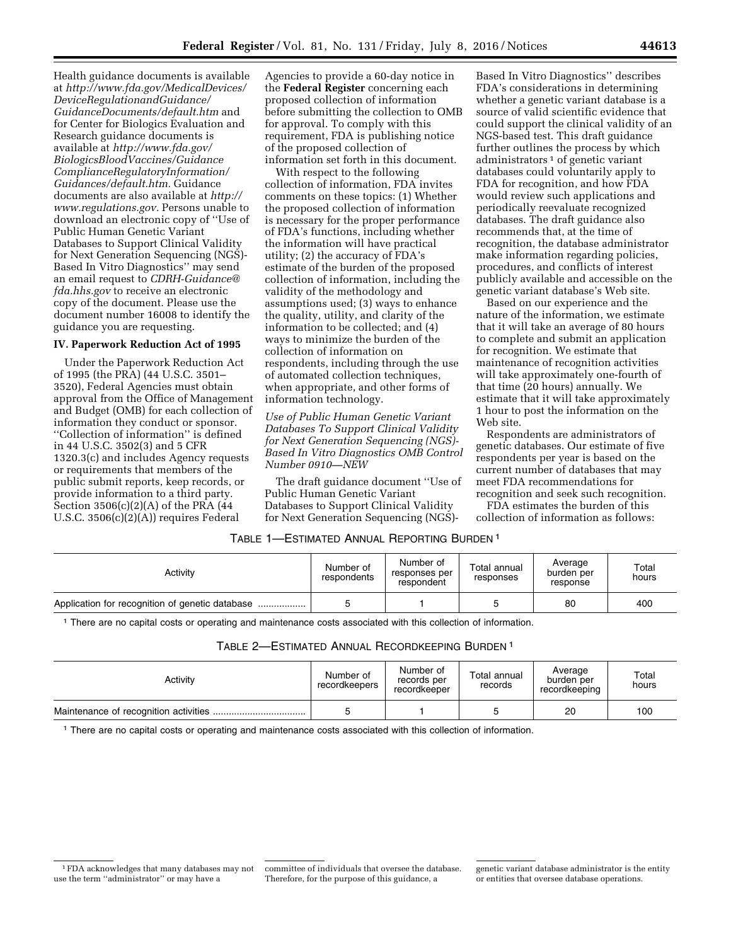Health guidance documents is available at *[http://www.fda.gov/MedicalDevices/](http://www.fda.gov/MedicalDevices/DeviceRegulationandGuidance/GuidanceDocuments/default.htm) [DeviceRegulationandGuidance/](http://www.fda.gov/MedicalDevices/DeviceRegulationandGuidance/GuidanceDocuments/default.htm) [GuidanceDocuments/default.htm](http://www.fda.gov/MedicalDevices/DeviceRegulationandGuidance/GuidanceDocuments/default.htm)* and for Center for Biologics Evaluation and Research guidance documents is available at *[http://www.fda.gov/](http://www.fda.gov/BiologicsBloodVaccines/GuidanceComplianceRegulatoryInformation/Guidances/default.htm) [BiologicsBloodVaccines/Guidance](http://www.fda.gov/BiologicsBloodVaccines/GuidanceComplianceRegulatoryInformation/Guidances/default.htm) [ComplianceRegulatoryInformation/](http://www.fda.gov/BiologicsBloodVaccines/GuidanceComplianceRegulatoryInformation/Guidances/default.htm) [Guidances/default.htm.](http://www.fda.gov/BiologicsBloodVaccines/GuidanceComplianceRegulatoryInformation/Guidances/default.htm)* Guidance documents are also available at *[http://](http://www.regulations.gov) [www.regulations.gov.](http://www.regulations.gov)* Persons unable to download an electronic copy of ''Use of Public Human Genetic Variant Databases to Support Clinical Validity for Next Generation Sequencing (NGS)- Based In Vitro Diagnostics'' may send an email request to *[CDRH-Guidance@](mailto:CDRH-Guidance@fda.hhs.gov) [fda.hhs.gov](mailto:CDRH-Guidance@fda.hhs.gov)* to receive an electronic copy of the document. Please use the document number 16008 to identify the guidance you are requesting.

## **IV. Paperwork Reduction Act of 1995**

Under the Paperwork Reduction Act of 1995 (the PRA) (44 U.S.C. 3501– 3520), Federal Agencies must obtain approval from the Office of Management and Budget (OMB) for each collection of information they conduct or sponsor. ''Collection of information'' is defined in 44 U.S.C. 3502(3) and 5 CFR 1320.3(c) and includes Agency requests or requirements that members of the public submit reports, keep records, or provide information to a third party. Section 3506(c)(2)(A) of the PRA (44 U.S.C. 3506(c)(2)(A)) requires Federal

Agencies to provide a 60-day notice in the **Federal Register** concerning each proposed collection of information before submitting the collection to OMB for approval. To comply with this requirement, FDA is publishing notice of the proposed collection of information set forth in this document.

With respect to the following collection of information, FDA invites comments on these topics: (1) Whether the proposed collection of information is necessary for the proper performance of FDA's functions, including whether the information will have practical utility; (2) the accuracy of FDA's estimate of the burden of the proposed collection of information, including the validity of the methodology and assumptions used; (3) ways to enhance the quality, utility, and clarity of the information to be collected; and (4) ways to minimize the burden of the collection of information on respondents, including through the use of automated collection techniques, when appropriate, and other forms of information technology.

*Use of Public Human Genetic Variant Databases To Support Clinical Validity for Next Generation Sequencing (NGS)- Based In Vitro Diagnostics OMB Control Number 0910—NEW* 

The draft guidance document ''Use of Public Human Genetic Variant Databases to Support Clinical Validity for Next Generation Sequencing (NGS)-

Based In Vitro Diagnostics'' describes FDA's considerations in determining whether a genetic variant database is a source of valid scientific evidence that could support the clinical validity of an NGS-based test. This draft guidance further outlines the process by which administrators 1 of genetic variant databases could voluntarily apply to FDA for recognition, and how FDA would review such applications and periodically reevaluate recognized databases. The draft guidance also recommends that, at the time of recognition, the database administrator make information regarding policies, procedures, and conflicts of interest publicly available and accessible on the genetic variant database's Web site.

Based on our experience and the nature of the information, we estimate that it will take an average of 80 hours to complete and submit an application for recognition. We estimate that maintenance of recognition activities will take approximately one-fourth of that time (20 hours) annually. We estimate that it will take approximately 1 hour to post the information on the Web site.

Respondents are administrators of genetic databases. Our estimate of five respondents per year is based on the current number of databases that may meet FDA recommendations for recognition and seek such recognition.

FDA estimates the burden of this collection of information as follows:

# TABLE 1—ESTIMATED ANNUAL REPORTING BURDEN 1

| Activity | Number of<br>respondents | Number of<br>responses per<br>respondent | Total annual<br>responses | Average<br>burden per<br>response | Total<br>hours |
|----------|--------------------------|------------------------------------------|---------------------------|-----------------------------------|----------------|
|          |                          |                                          |                           | 80                                | 400            |

1 There are no capital costs or operating and maintenance costs associated with this collection of information.

TABLE 2—ESTIMATED ANNUAL RECORDKEEPING BURDEN 1

| Activity | Number of<br>recordkeepers | Number of<br>records per<br>recordkeeper | Total annual<br>records | Average<br>burden per<br>recordkeeping | Total<br>hours |
|----------|----------------------------|------------------------------------------|-------------------------|----------------------------------------|----------------|
|          |                            |                                          |                         | 20                                     | 100            |

1 There are no capital costs or operating and maintenance costs associated with this collection of information.

<sup>1</sup>FDA acknowledges that many databases may not use the term ''administrator'' or may have a

genetic variant database administrator is the entity or entities that oversee database operations.